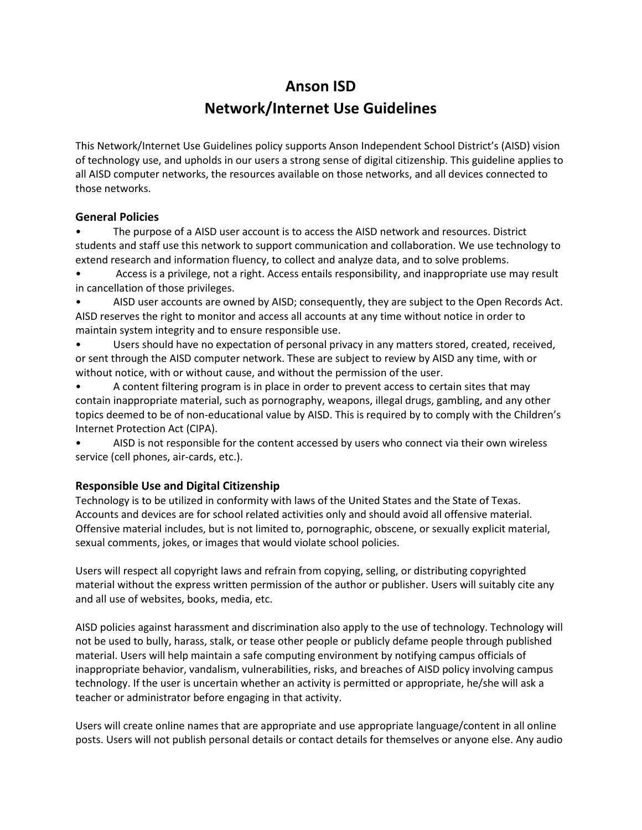# **Anson ISD Network/Internet Use Guidelines**

This Network/Internet Use Guidelines policy supports Anson Independent School District's (AISD) vision of technology use, and upholds in our users a strong sense of digital citizenship. This guideline applies to all AISD computer networks, the resources available on those networks, and all devices connected to those networks.

## **General Policies**

• The purpose of a AISD user account is to access the AISD network and resources. District students and staff use this network to support communication and collaboration. We use technology to extend research and information fluency, to collect and analyze data, and to solve problems.

• Access is a privilege, not a right. Access entails responsibility, and inappropriate use may result in cancellation of those privileges.

• AISD user accounts are owned by AISD; consequently, they are subject to the Open Records Act. AISD reserves the right to monitor and access all accounts at any time without notice in order to maintain system integrity and to ensure responsible use.

• Users should have no expectation of personal privacy in any matters stored, created, received, or sent through the AISD computer network. These are subject to review by AISD any time, with or without notice, with or without cause, and without the permission of the user.

• A content filtering program is in place in order to prevent access to certain sites that may contain inappropriate material, such as pornography, weapons, illegal drugs, gambling, and any other topics deemed to be of non-educational value by AISD. This is required by to comply with the Children's Internet Protection Act (CIPA).

• AISD is not responsible for the content accessed by users who connect via their own wireless service (cell phones, air-cards, etc.).

# **Responsible Use and Digital Citizenship**

Technology is to be utilized in conformity with laws of the United States and the State of Texas. Accounts and devices are for school related activities only and should avoid all offensive material. Offensive material includes, but is not limited to, pornographic, obscene, or sexually explicit material, sexual comments, jokes, or images that would violate school policies.

Users will respect all copyright laws and refrain from copying, selling, or distributing copyrighted material without the express written permission of the author or publisher. Users will suitably cite any and all use of websites, books, media, etc.

AISD policies against harassment and discrimination also apply to the use of technology. Technology will not be used to bully, harass, stalk, or tease other people or publicly defame people through published material. Users will help maintain a safe computing environment by notifying campus officials of inappropriate behavior, vandalism, vulnerabilities, risks, and breaches of AISD policy involving campus technology. If the user is uncertain whether an activity is permitted or appropriate, he/she will ask a teacher or administrator before engaging in that activity.

Users will create online names that are appropriate and use appropriate language/content in all online posts. Users will not publish personal details or contact details for themselves or anyone else. Any audio